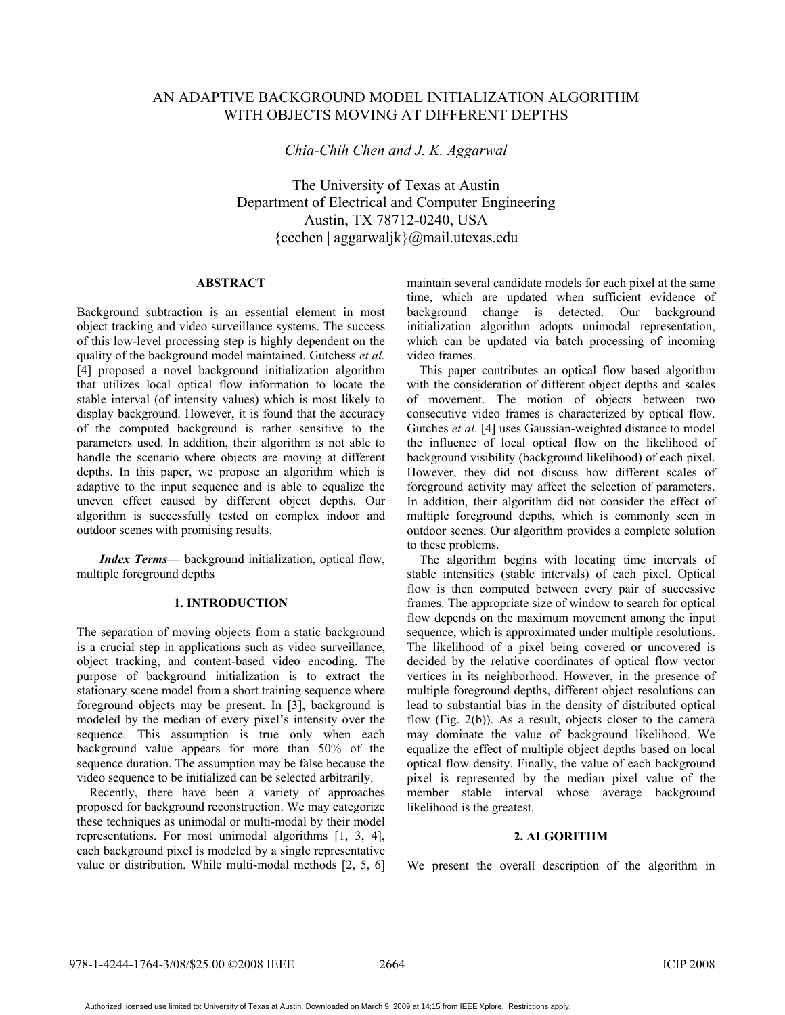# AN ADAPTIVE BACKGROUND MODEL INITIALIZATION ALGORITHM WITH OBJECTS MOVING AT DIFFERENT DEPTHS

*Chia-Chih Chen and J. K. Aggarwal* 

The University of Texas at Austin Department of Electrical and Computer Engineering Austin, TX 78712-0240, USA {ccchen | aggarwaljk}@mail.utexas.edu

# **ABSTRACT**

Background subtraction is an essential element in most object tracking and video surveillance systems. The success of this low-level processing step is highly dependent on the quality of the background model maintained. Gutchess *et al.* [4] proposed a novel background initialization algorithm that utilizes local optical flow information to locate the stable interval (of intensity values) which is most likely to display background. However, it is found that the accuracy of the computed background is rather sensitive to the parameters used. In addition, their algorithm is not able to handle the scenario where objects are moving at different depths. In this paper, we propose an algorithm which is adaptive to the input sequence and is able to equalize the uneven effect caused by different object depths. Our algorithm is successfully tested on complex indoor and outdoor scenes with promising results.

*Index Terms*— background initialization, optical flow, multiple foreground depths

# **1. INTRODUCTION**

The separation of moving objects from a static background is a crucial step in applications such as video surveillance, object tracking, and content-based video encoding. The purpose of background initialization is to extract the stationary scene model from a short training sequence where foreground objects may be present. In [3], background is modeled by the median of every pixel's intensity over the sequence. This assumption is true only when each background value appears for more than 50% of the sequence duration. The assumption may be false because the video sequence to be initialized can be selected arbitrarily.

 Recently, there have been a variety of approaches proposed for background reconstruction. We may categorize these techniques as unimodal or multi-modal by their model representations. For most unimodal algorithms [1, 3, 4], each background pixel is modeled by a single representative value or distribution. While multi-modal methods [2, 5, 6] maintain several candidate models for each pixel at the same time, which are updated when sufficient evidence of background change is detected. Our background initialization algorithm adopts unimodal representation, which can be updated via batch processing of incoming video frames.

 This paper contributes an optical flow based algorithm with the consideration of different object depths and scales of movement. The motion of objects between two consecutive video frames is characterized by optical flow. Gutches *et al*. [4] uses Gaussian-weighted distance to model the influence of local optical flow on the likelihood of background visibility (background likelihood) of each pixel. However, they did not discuss how different scales of foreground activity may affect the selection of parameters. In addition, their algorithm did not consider the effect of multiple foreground depths, which is commonly seen in outdoor scenes. Our algorithm provides a complete solution to these problems.

 The algorithm begins with locating time intervals of stable intensities (stable intervals) of each pixel. Optical flow is then computed between every pair of successive frames. The appropriate size of window to search for optical flow depends on the maximum movement among the input sequence, which is approximated under multiple resolutions. The likelihood of a pixel being covered or uncovered is decided by the relative coordinates of optical flow vector vertices in its neighborhood. However, in the presence of multiple foreground depths, different object resolutions can lead to substantial bias in the density of distributed optical flow (Fig. 2(b)). As a result, objects closer to the camera may dominate the value of background likelihood. We equalize the effect of multiple object depths based on local optical flow density. Finally, the value of each background pixel is represented by the median pixel value of the member stable interval whose average background likelihood is the greatest.

## **2. ALGORITHM**

We present the overall description of the algorithm in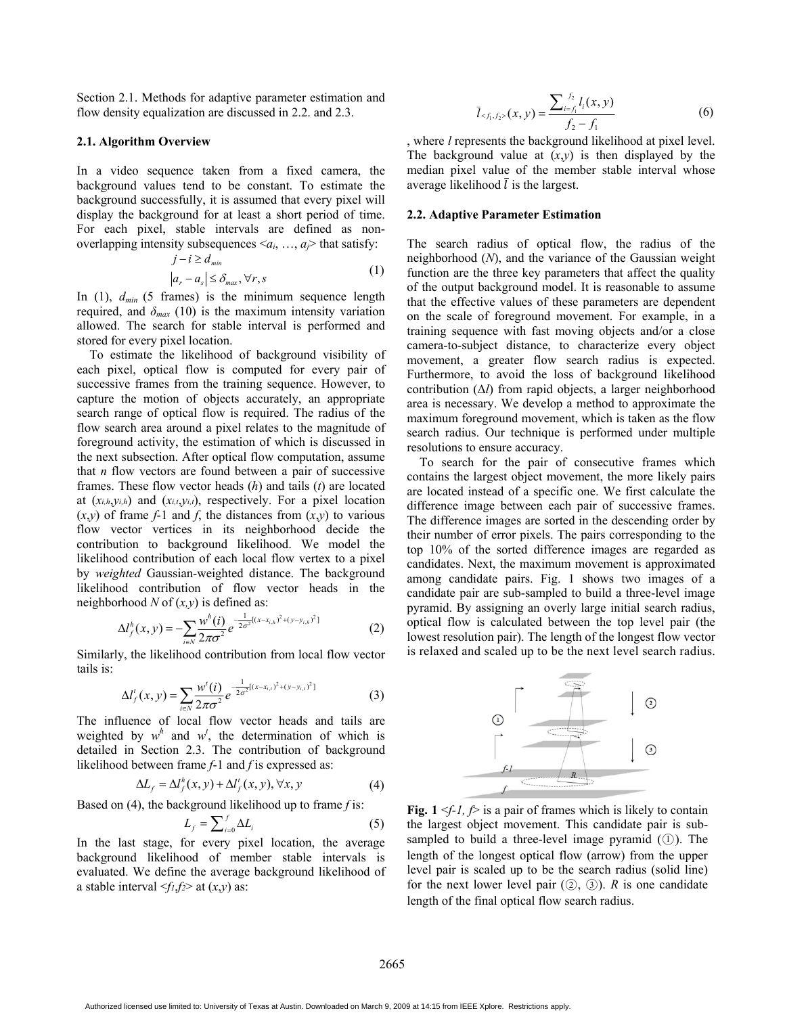Section 2.1. Methods for adaptive parameter estimation and flow density equalization are discussed in 2.2. and 2.3.

# **2.1. Algorithm Overview**

In a video sequence taken from a fixed camera, the background values tend to be constant. To estimate the background successfully, it is assumed that every pixel will display the background for at least a short period of time. For each pixel, stable intervals are defined as nonoverlapping intensity subsequences  $\langle a_i, ..., a_j \rangle$  that satisfy:

$$
j - i \ge d_{min}
$$
  
\n
$$
|a_r - a_s| \le \delta_{max}, \forall r, s
$$
 (1)

In  $(1)$ ,  $d_{min}$   $(5$  frames) is the minimum sequence length required, and  $\delta_{max}$  (10) is the maximum intensity variation allowed. The search for stable interval is performed and stored for every pixel location.

 To estimate the likelihood of background visibility of each pixel, optical flow is computed for every pair of successive frames from the training sequence. However, to capture the motion of objects accurately, an appropriate search range of optical flow is required. The radius of the flow search area around a pixel relates to the magnitude of foreground activity, the estimation of which is discussed in the next subsection. After optical flow computation, assume that *n* flow vectors are found between a pair of successive frames. These flow vector heads (*h*) and tails (*t*) are located at (*xi,h*,*yi,h*) and (*xi,t*,*yi,t*), respectively. For a pixel location  $(x,y)$  of frame  $f$ -1 and  $f$ , the distances from  $(x,y)$  to various flow vector vertices in its neighborhood decide the contribution to background likelihood. We model the likelihood contribution of each local flow vertex to a pixel by *weighted* Gaussian-weighted distance. The background likelihood contribution of flow vector heads in the neighborhood  $N$  of  $(x, y)$  is defined as:

$$
\Delta l_f^h(x, y) = -\sum_{i \in N} \frac{w^h(i)}{2\pi\sigma^2} e^{-\frac{1}{2\sigma^2}[(x - x_{i,h})^2 + (y - y_{i,h})^2]}
$$
(2)

Similarly, the likelihood contribution from local flow vector tails is:<br> $x^d(i) = \frac{1}{2} [x - x^2 + (x - x)^2]$ 

$$
\Delta l_f^t(x, y) = \sum_{i \in N} \frac{w'(i)}{2\pi\sigma^2} e^{-\frac{1}{2\sigma^2}[(x - x_{i,t})^2 + (y - y_{i,t})^2]}
$$
(3)

The influence of local flow vector heads and tails are weighted by  $w^h$  and  $w^t$ , the determination of which is detailed in Section 2.3. The contribution of background likelihood between frame *f*-1 and *f* is expressed as:

$$
\Delta L_f = \Delta l_f^h(x, y) + \Delta l_f^t(x, y), \forall x, y \tag{4}
$$

Based on (4), the background likelihood up to frame *f* is:

$$
L_f = \sum_{i=0}^{f} \Delta L_i
$$
 (5)

In the last stage, for every pixel location, the average background likelihood of member stable intervals is evaluated. We define the average background likelihood of a stable interval  $\leq f_1, f_2 >$  at  $(x, y)$  as:

$$
\bar{l}_{}(x, y) = \frac{\sum_{i=f_1}^{f_2} l_i(x, y)}{f_2 - f_1}
$$
 (6)

, where *l* represents the background likelihood at pixel level. The background value at  $(x,y)$  is then displayed by the median pixel value of the member stable interval whose average likelihood  $\bar{l}$  is the largest.

#### **2.2. Adaptive Parameter Estimation**

The search radius of optical flow, the radius of the neighborhood (*N*), and the variance of the Gaussian weight function are the three key parameters that affect the quality of the output background model. It is reasonable to assume that the effective values of these parameters are dependent on the scale of foreground movement. For example, in a training sequence with fast moving objects and/or a close camera-to-subject distance, to characterize every object movement, a greater flow search radius is expected. Furthermore, to avoid the loss of background likelihood contribution  $(\Delta l)$  from rapid objects, a larger neighborhood area is necessary. We develop a method to approximate the maximum foreground movement, which is taken as the flow search radius. Our technique is performed under multiple resolutions to ensure accuracy.

 To search for the pair of consecutive frames which contains the largest object movement, the more likely pairs are located instead of a specific one. We first calculate the difference image between each pair of successive frames. The difference images are sorted in the descending order by their number of error pixels. The pairs corresponding to the top 10% of the sorted difference images are regarded as candidates. Next, the maximum movement is approximated among candidate pairs. Fig. 1 shows two images of a candidate pair are sub-sampled to build a three-level image pyramid. By assigning an overly large initial search radius, optical flow is calculated between the top level pair (the lowest resolution pair). The length of the longest flow vector is relaxed and scaled up to be the next level search radius.



**Fig.** 1  $\leq$  1,  $\leq$  is a pair of frames which is likely to contain the largest object movement. This candidate pair is subsampled to build a three-level image pyramid  $(①)$ . The length of the longest optical flow (arrow) from the upper level pair is scaled up to be the search radius (solid line) for the next lower level pair  $(2, 3)$ . *R* is one candidate length of the final optical flow search radius.

Authorized licensed use limited to: University of Texas at Austin. Downloaded on March 9, 2009 at 14:15 from IEEE Xplore. Restrictions apply.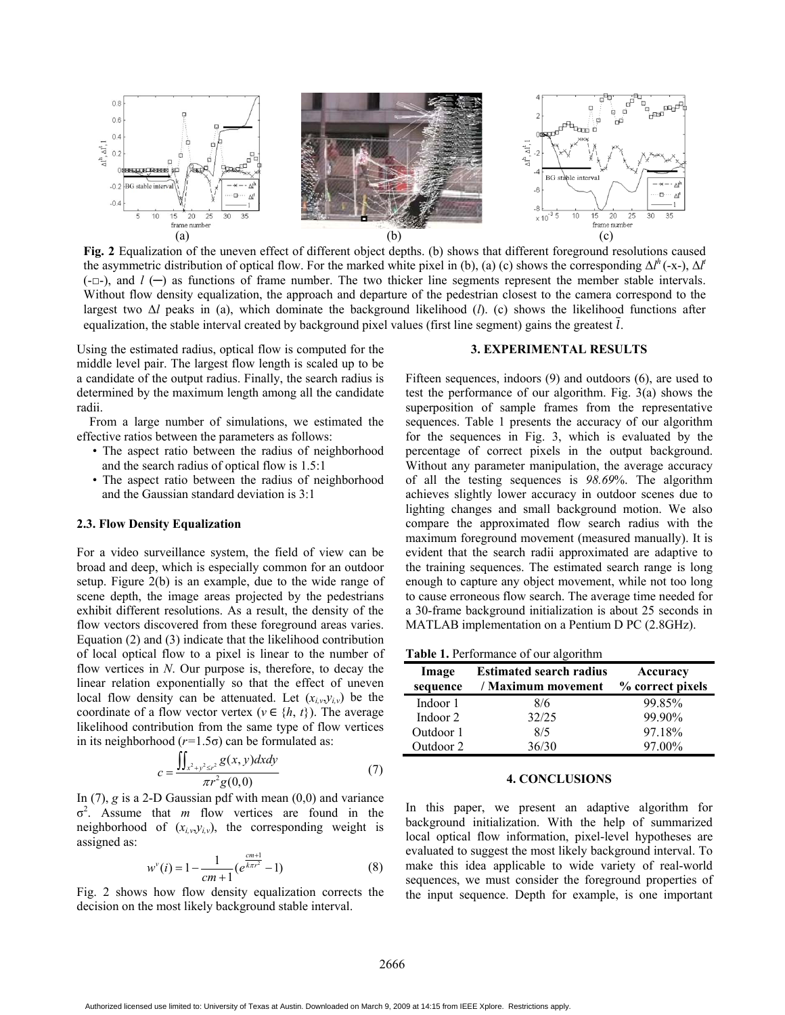

**Fig. 2** Equalization of the uneven effect of different object depths. (b) shows that different foreground resolutions caused the asymmetric distribution of optical flow. For the marked white pixel in (b), (a) (c) shows the corresponding  $\Delta l^h$  (-x-),  $\Delta l^h$  $(-\Box)$ , and  $l(-)$  as functions of frame number. The two thicker line segments represent the member stable intervals. Without flow density equalization, the approach and departure of the pedestrian closest to the camera correspond to the largest two  $\Delta l$  peaks in (a), which dominate the background likelihood (*l*). (c) shows the likelihood functions after equalization, the stable interval created by background pixel values (first line segment) gains the greatest  $\bar{l}$ .

Using the estimated radius, optical flow is computed for the middle level pair. The largest flow length is scaled up to be a candidate of the output radius. Finally, the search radius is determined by the maximum length among all the candidate radii.

 From a large number of simulations, we estimated the effective ratios between the parameters as follows:

- The aspect ratio between the radius of neighborhood and the search radius of optical flow is 1.5:1
- The aspect ratio between the radius of neighborhood and the Gaussian standard deviation is 3:1

#### **2.3. Flow Density Equalization**

For a video surveillance system, the field of view can be broad and deep, which is especially common for an outdoor setup. Figure 2(b) is an example, due to the wide range of scene depth, the image areas projected by the pedestrians exhibit different resolutions. As a result, the density of the flow vectors discovered from these foreground areas varies. Equation (2) and (3) indicate that the likelihood contribution of local optical flow to a pixel is linear to the number of flow vertices in *N*. Our purpose is, therefore, to decay the linear relation exponentially so that the effect of uneven local flow density can be attenuated. Let  $(x_{i, y}, y_{i, v})$  be the coordinate of a flow vector vertex ( $v \in \{h, t\}$ ). The average likelihood contribution from the same type of flow vertices in its neighborhood  $(r=1.5\sigma)$  can be formulated as:

$$
c = \frac{\iint_{x^2 + y^2 \le r^2} g(x, y) dx dy}{\pi r^2 g(0, 0)}
$$
(7)

In (7), *g* is a 2-D Gaussian pdf with mean (0,0) and variance  $\sigma^2$ . Assume that *m* flow vertices are found in the neighborhood of  $(x_{i,v},y_{i,v})$ , the corresponding weight is assigned as:

$$
w^{\nu}(i) = 1 - \frac{1}{cm+1} \left(e^{\frac{cm+1}{k\pi r^2}} - 1\right)
$$
 (8)

Fig. 2 shows how flow density equalization corrects the decision on the most likely background stable interval.

#### **3. EXPERIMENTAL RESULTS**

Fifteen sequences, indoors (9) and outdoors (6), are used to test the performance of our algorithm. Fig. 3(a) shows the superposition of sample frames from the representative sequences. Table 1 presents the accuracy of our algorithm for the sequences in Fig. 3, which is evaluated by the percentage of correct pixels in the output background. Without any parameter manipulation, the average accuracy of all the testing sequences is *98.69*%. The algorithm achieves slightly lower accuracy in outdoor scenes due to lighting changes and small background motion. We also compare the approximated flow search radius with the maximum foreground movement (measured manually). It is evident that the search radii approximated are adaptive to the training sequences. The estimated search range is long enough to capture any object movement, while not too long to cause erroneous flow search. The average time needed for a 30-frame background initialization is about 25 seconds in MATLAB implementation on a Pentium D PC (2.8GHz).

### **Table 1.** Performance of our algorithm

| Image<br>sequence | <b>Estimated search radius</b><br>/ Maximum movement | Accuracy<br>% correct pixels |
|-------------------|------------------------------------------------------|------------------------------|
| Indoor 1          | 8/6                                                  | 99.85%                       |
| Indoor 2          | 32/25                                                | 99.90%                       |
| Outdoor 1         | 8/5                                                  | 97.18%                       |
| Outdoor 2         | 36/30                                                | 97 00%                       |

#### **4. CONCLUSIONS**

In this paper, we present an adaptive algorithm for background initialization. With the help of summarized local optical flow information, pixel-level hypotheses are evaluated to suggest the most likely background interval. To make this idea applicable to wide variety of real-world sequences, we must consider the foreground properties of the input sequence. Depth for example, is one important

Authorized licensed use limited to: University of Texas at Austin. Downloaded on March 9, 2009 at 14:15 from IEEE Xplore. Restrictions apply.